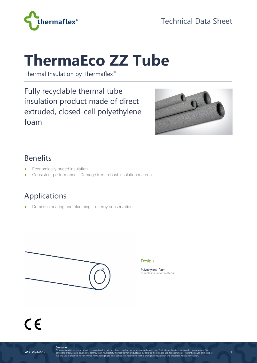

Technical Data Sheet

## **ThermaEco ZZ Tube**

Thermal Insulation by Thermaflex®

Fully recyclable thermal tube insulation product made of direct extruded, closed-cell polyethylene foam



1

### Benefits

- Economically priced insulation
- Consistent performance Damage free, robust insulation material

## Applications

• Domestic heating and plumbing – energy conservation



# $C \in$

**Disclaimer**